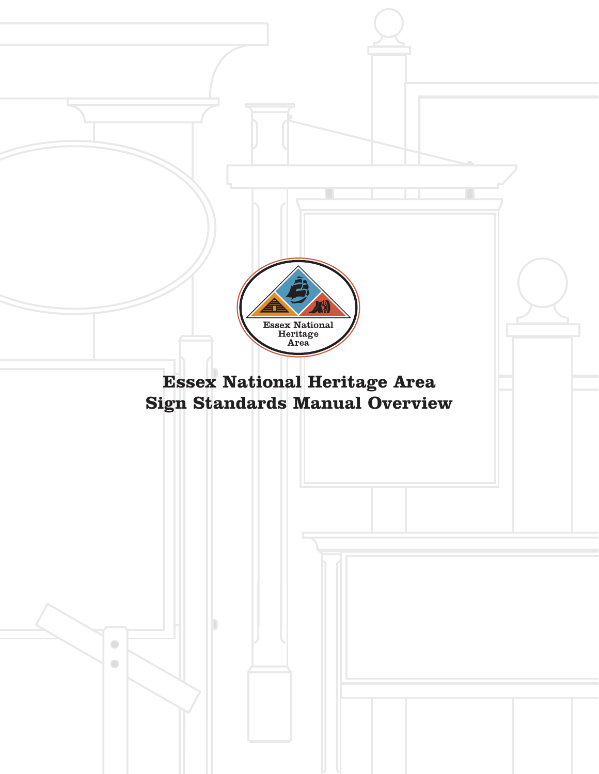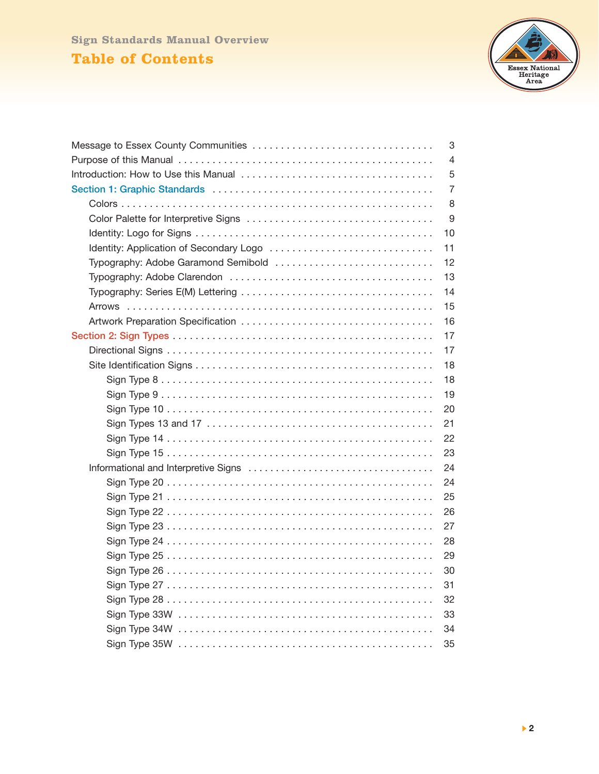# **Table of Contents Sign Standards Manual Overview**



|                                               | 3  |  |  |
|-----------------------------------------------|----|--|--|
| 4                                             |    |  |  |
| 5                                             |    |  |  |
|                                               |    |  |  |
|                                               | 8  |  |  |
|                                               | 9  |  |  |
|                                               | 10 |  |  |
| 11<br>Identity: Application of Secondary Logo |    |  |  |
| 12<br>Typography: Adobe Garamond Semibold     |    |  |  |
| 13                                            |    |  |  |
| 14                                            |    |  |  |
|                                               | 15 |  |  |
|                                               | 16 |  |  |
|                                               | 17 |  |  |
|                                               | 17 |  |  |
|                                               | 18 |  |  |
|                                               | 18 |  |  |
|                                               | 19 |  |  |
|                                               | 20 |  |  |
|                                               | 21 |  |  |
|                                               | 22 |  |  |
|                                               | 23 |  |  |
|                                               |    |  |  |
|                                               | 24 |  |  |
|                                               | 25 |  |  |
|                                               | 26 |  |  |
|                                               | 27 |  |  |
|                                               | 28 |  |  |
|                                               | 29 |  |  |
|                                               | 30 |  |  |
|                                               | 31 |  |  |
|                                               | 32 |  |  |
|                                               | 33 |  |  |
|                                               | 34 |  |  |
|                                               | 35 |  |  |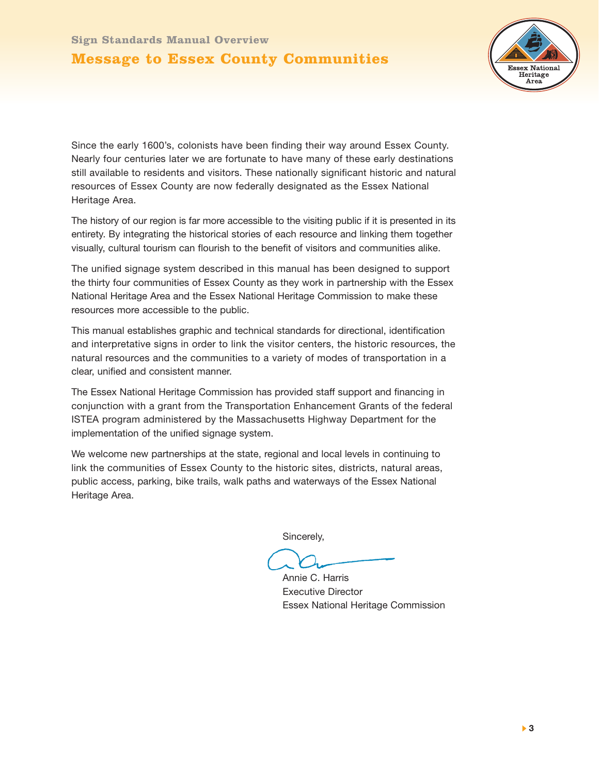#### **Message to Essex County Communities**



Since the early 1600's, colonists have been finding their way around Essex County. Nearly four centuries later we are fortunate to have many of these early destinations still available to residents and visitors. These nationally significant historic and natural resources of Essex County are now federally designated as the Essex National Heritage Area.

The history of our region is far more accessible to the visiting public if it is presented in its entirety. By integrating the historical stories of each resource and linking them together visually, cultural tourism can flourish to the benefit of visitors and communities alike.

The unified signage system described in this manual has been designed to support the thirty four communities of Essex County as they work in partnership with the Essex National Heritage Area and the Essex National Heritage Commission to make these resources more accessible to the public.

This manual establishes graphic and technical standards for directional, identification and interpretative signs in order to link the visitor centers, the historic resources, the natural resources and the communities to a variety of modes of transportation in a clear, unified and consistent manner.

The Essex National Heritage Commission has provided staff support and financing in conjunction with a grant from the Transportation Enhancement Grants of the federal ISTEA program administered by the Massachusetts Highway Department for the implementation of the unified signage system.

We welcome new partnerships at the state, regional and local levels in continuing to link the communities of Essex County to the historic sites, districts, natural areas, public access, parking, bike trails, walk paths and waterways of the Essex National Heritage Area.

Sincerely,

Annie C. Harris Executive Director Essex National Heritage Commission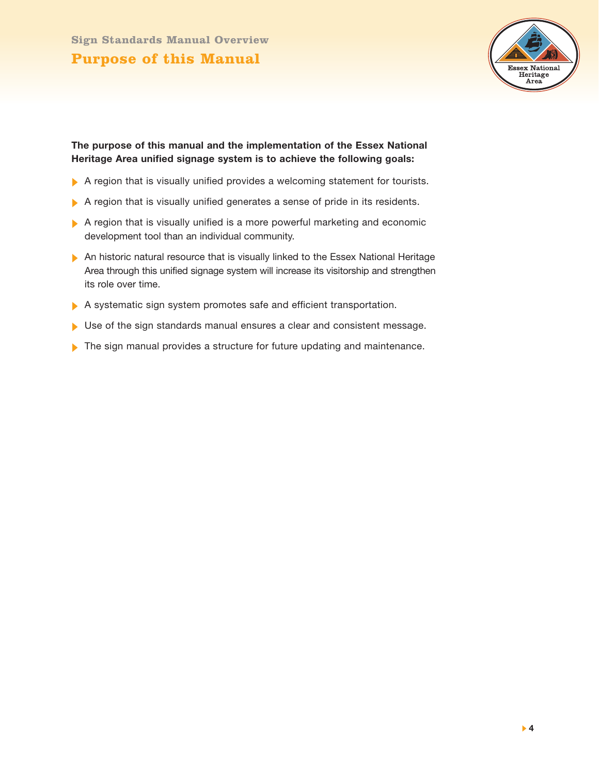

#### **The purpose of this manual and the implementation of the Essex National Heritage Area unified signage system is to achieve the following goals:**

- A region that is visually unified provides a welcoming statement for tourists.
- A region that is visually unified generates a sense of pride in its residents.
- A region that is visually unified is a more powerful marketing and economic development tool than an individual community.
- An historic natural resource that is visually linked to the Essex National Heritage Area through this unified signage system will increase its visitorship and strengthen its role over time.
- A systematic sign system promotes safe and efficient transportation.
- Use of the sign standards manual ensures a clear and consistent message.
- The sign manual provides a structure for future updating and maintenance.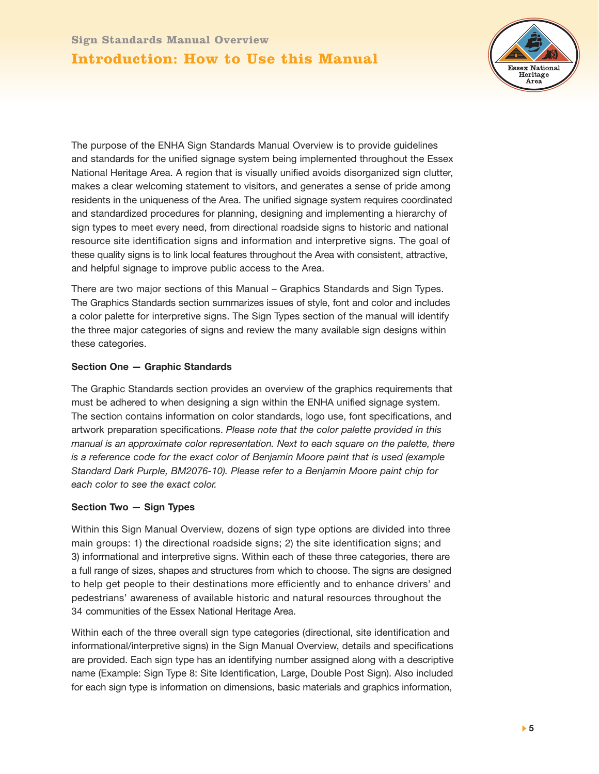# **Introduction: How to Use this Manual**



The purpose of the ENHA Sign Standards Manual Overview is to provide guidelines and standards for the unified signage system being implemented throughout the Essex National Heritage Area. A region that is visually unified avoids disorganized sign clutter, makes a clear welcoming statement to visitors, and generates a sense of pride among residents in the uniqueness of the Area. The unified signage system requires coordinated and standardized procedures for planning, designing and implementing a hierarchy of sign types to meet every need, from directional roadside signs to historic and national resource site identification signs and information and interpretive signs. The goal of these quality signs is to link local features throughout the Area with consistent, attractive, and helpful signage to improve public access to the Area.

There are two major sections of this Manual – Graphics Standards and Sign Types. The Graphics Standards section summarizes issues of style, font and color and includes a color palette for interpretive signs. The Sign Types section of the manual will identify the three major categories of signs and review the many available sign designs within these categories.

#### **Section One — Graphic Standards**

The Graphic Standards section provides an overview of the graphics requirements that must be adhered to when designing a sign within the ENHA unified signage system. The section contains information on color standards, logo use, font specifications, and artwork preparation specifications. *Please note that the color palette provided in this manual is an approximate color representation. Next to each square on the palette, there is a reference code for the exact color of Benjamin Moore paint that is used (example Standard Dark Purple, BM2076-10). Please refer to a Benjamin Moore paint chip for each color to see the exact color.*

#### **Section Two — Sign Types**

Within this Sign Manual Overview, dozens of sign type options are divided into three main groups: 1) the directional roadside signs; 2) the site identification signs; and 3) informational and interpretive signs. Within each of these three categories, there are a full range of sizes, shapes and structures from which to choose. The signs are designed to help get people to their destinations more efficiently and to enhance drivers' and pedestrians' awareness of available historic and natural resources throughout the 34 communities of the Essex National Heritage Area.

Within each of the three overall sign type categories (directional, site identification and informational/interpretive signs) in the Sign Manual Overview, details and specifications are provided. Each sign type has an identifying number assigned along with a descriptive name (Example: Sign Type 8: Site Identification, Large, Double Post Sign). Also included for each sign type is information on dimensions, basic materials and graphics information,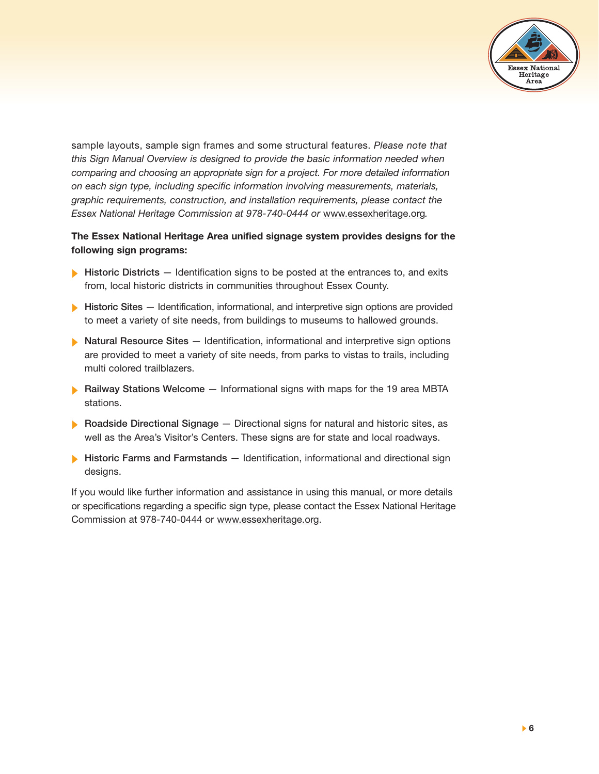

sample layouts, sample sign frames and some structural features. *Please note that this Sign Manual Overview is designed to provide the basic information needed when comparing and choosing an appropriate sign for a project. For more detailed information on each sign type, including specific information involving measurements, materials, graphic requirements, construction, and installation requirements, please contact the Essex National Heritage Commission at 978-740-0444 or* www.essexheritage.org*.*

**The Essex National Heritage Area unified signage system provides designs for the following sign programs:**

- **Historic Districts** Identification signs to be posted at the entrances to, and exits from, local historic districts in communities throughout Essex County.
- **Historic Sites** Identification, informational, and interpretive sign options are provided to meet a variety of site needs, from buildings to museums to hallowed grounds.
- **Natural Resource Sites** Identification, informational and interpretive sign options are provided to meet a variety of site needs, from parks to vistas to trails, including multi colored trailblazers.
- **Railway Stations Welcome** Informational signs with maps for the 19 area MBTA stations.
- **Roadside Directional Signage** Directional signs for natural and historic sites, as well as the Area's Visitor's Centers. These signs are for state and local roadways.
- **Historic Farms and Farmstands** Identification, informational and directional sign designs.

If you would like further information and assistance in using this manual, or more details or specifications regarding a specific sign type, please contact the Essex National Heritage Commission at 978-740-0444 or www.essexheritage.org.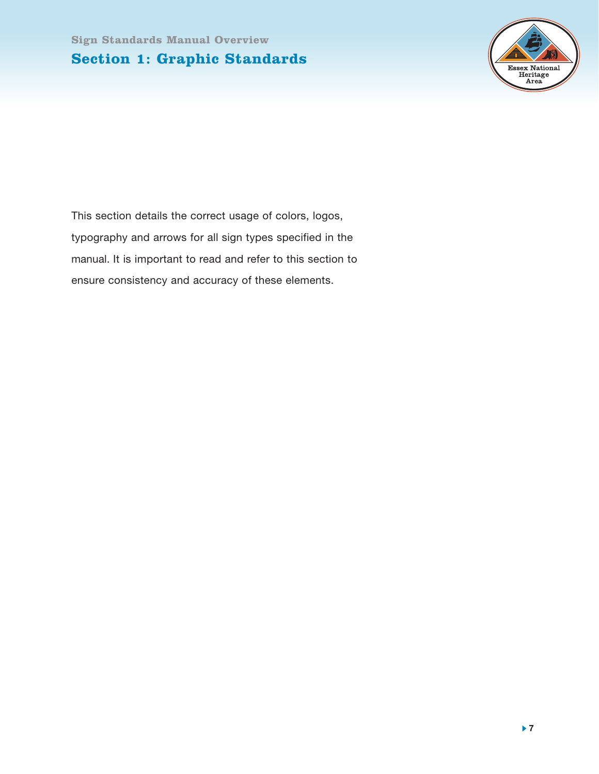

This section details the correct usage of colors, logos, typography and arrows for all sign types specified in the manual. It is important to read and refer to this section to ensure consistency and accuracy of these elements.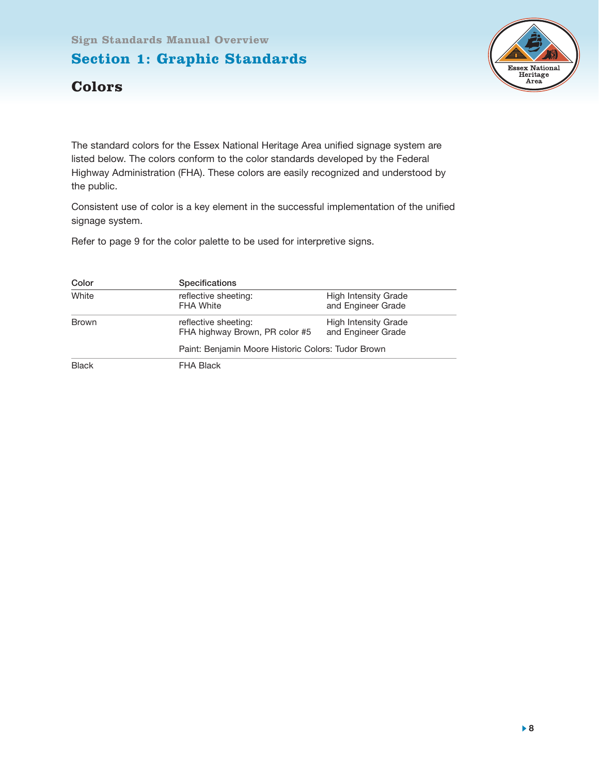

#### **Colors**

The standard colors for the Essex National Heritage Area unified signage system are listed below. The colors conform to the color standards developed by the Federal Highway Administration (FHA). These colors are easily recognized and understood by the public.

Consistent use of color is a key element in the successful implementation of the unified signage system.

Refer to page 9 for the color palette to be used for interpretive signs.

| Color        | <b>Specifications</b>                                  |                                                   |  |
|--------------|--------------------------------------------------------|---------------------------------------------------|--|
| White        | reflective sheeting:<br><b>FHA White</b>               | <b>High Intensity Grade</b><br>and Engineer Grade |  |
| <b>Brown</b> | reflective sheeting:<br>FHA highway Brown, PR color #5 | <b>High Intensity Grade</b><br>and Engineer Grade |  |
|              | Paint: Benjamin Moore Historic Colors: Tudor Brown     |                                                   |  |
| <b>Black</b> | <b>FHA Black</b>                                       |                                                   |  |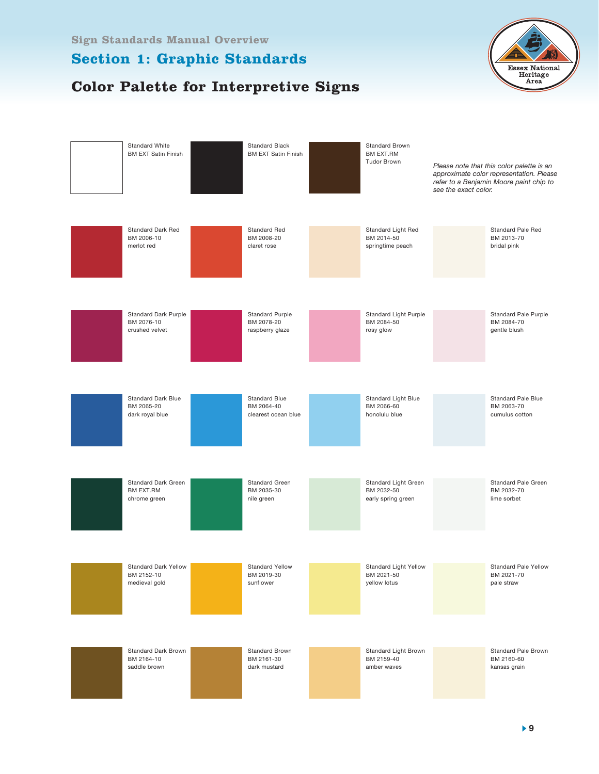# **Color Palette for Interpretive Signs**



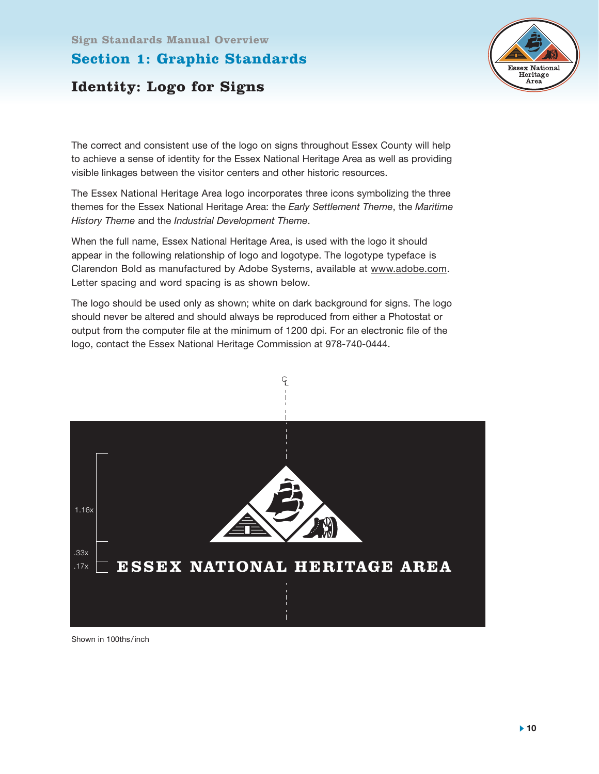#### **Section 1: Graphic Standards**



# **Identity: Logo for Signs**

The correct and consistent use of the logo on signs throughout Essex County will help to achieve a sense of identity for the Essex National Heritage Area as well as providing visible linkages between the visitor centers and other historic resources.

The Essex National Heritage Area logo incorporates three icons symbolizing the three themes for the Essex National Heritage Area: the *Early Settlement Theme*, the *Maritime History Theme* and the *Industrial Development Theme*.

When the full name, Essex National Heritage Area, is used with the logo it should appear in the following relationship of logo and logotype. The logotype typeface is Clarendon Bold as manufactured by Adobe Systems, available at www.adobe.com. Letter spacing and word spacing is as shown below.

The logo should be used only as shown; white on dark background for signs. The logo should never be altered and should always be reproduced from either a Photostat or output from the computer file at the minimum of 1200 dpi. For an electronic file of the logo, contact the Essex National Heritage Commission at 978-740-0444.



Shown in 100ths/inch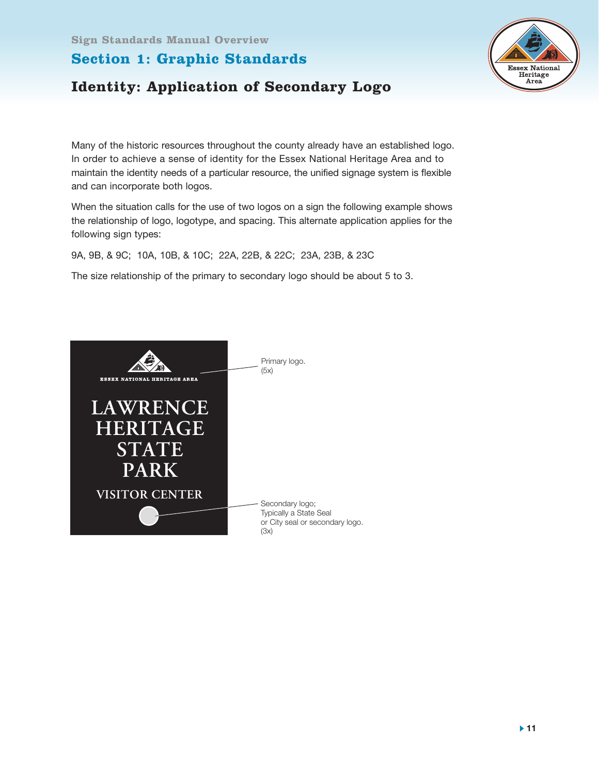#### **Section 1: Graphic Standards**



# **Identity: Application of Secondary Logo**

Many of the historic resources throughout the county already have an established logo. In order to achieve a sense of identity for the Essex National Heritage Area and to maintain the identity needs of a particular resource, the unified signage system is flexible and can incorporate both logos.

When the situation calls for the use of two logos on a sign the following example shows the relationship of logo, logotype, and spacing. This alternate application applies for the following sign types:

9A, 9B, & 9C; 10A, 10B, & 10C; 22A, 22B, & 22C; 23A, 23B, & 23C

The size relationship of the primary to secondary logo should be about 5 to 3.

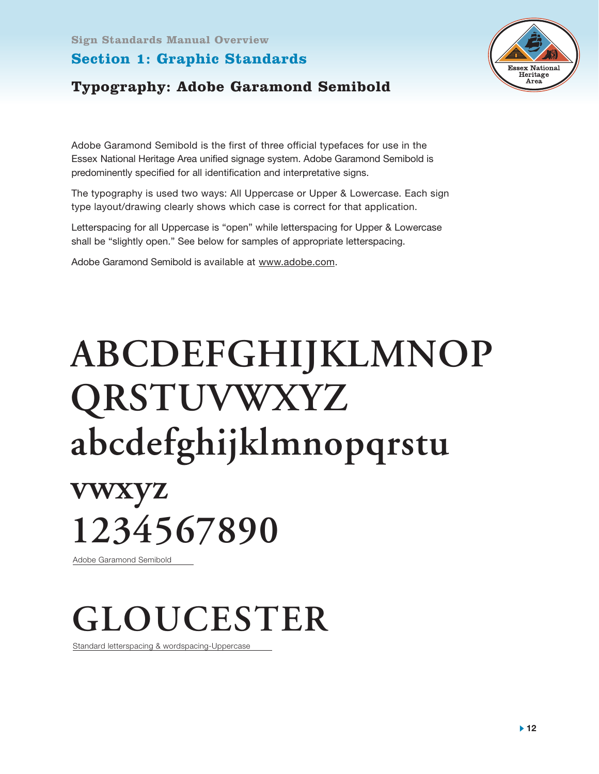#### **Section 1: Graphic Standards**



#### **Typography: Adobe Garamond Semibold**

Adobe Garamond Semibold is the first of three official typefaces for use in the Essex National Heritage Area unified signage system. Adobe Garamond Semibold is predominently specified for all identification and interpretative signs.

The typography is used two ways: All Uppercase or Upper & Lowercase. Each sign type layout/drawing clearly shows which case is correct for that application.

Letterspacing for all Uppercase is "open" while letterspacing for Upper & Lowercase shall be "slightly open." See below for samples of appropriate letterspacing.

Adobe Garamond Semibold is available at www.adobe.com.

# **ABCDEFGHIJKLMNOP QRSTUVWXYZ abcdefghijklmnopqrstu**

**vwxyz 1234567890**

Adobe Garamond Semibold

# **GLOUCESTER**

Standard letterspacing & wordspacing-Uppercase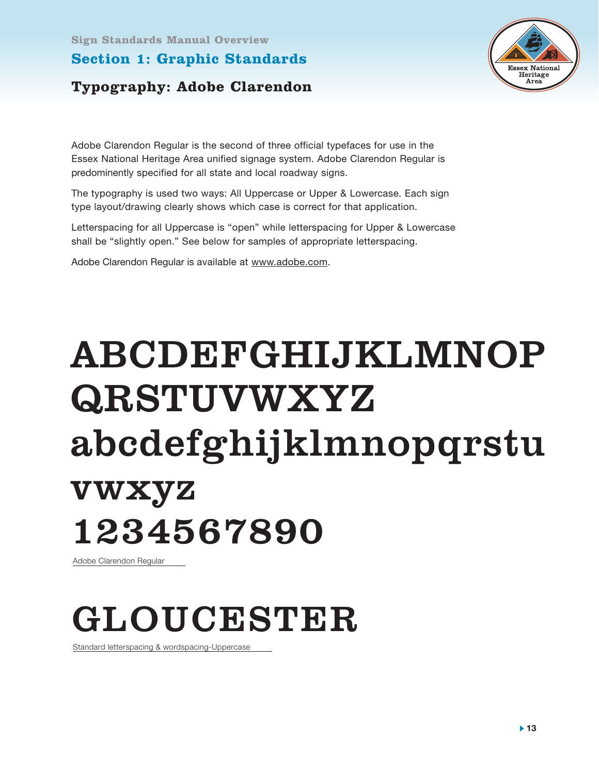#### **Section 1: Graphic Standards**



#### **Typography: Adobe Clarendon**

Adobe Clarendon Regular is the second of three official typefaces for use in the Essex National Heritage Area unified signage system. Adobe Clarendon Regular is predominently specified for all state and local roadway signs.

The typography is used two ways: All Uppercase or Upper & Lowercase. Each sign type layout/drawing clearly shows which case is correct for that application.

Letterspacing for all Uppercase is "open" while letterspacing for Upper & Lowercase shall be "slightly open." See below for samples of appropriate letterspacing.

Adobe Clarendon Regular is available at www.adobe.com.

# ABCDEFGHIJKLMNOP QRSTUVWXYZ abcdefghijklmnopqrstu vwxyz 1234567890

Adobe Clarendon Regular

# GLOUCESTER

Standard letterspacing & wordspacing-Uppercase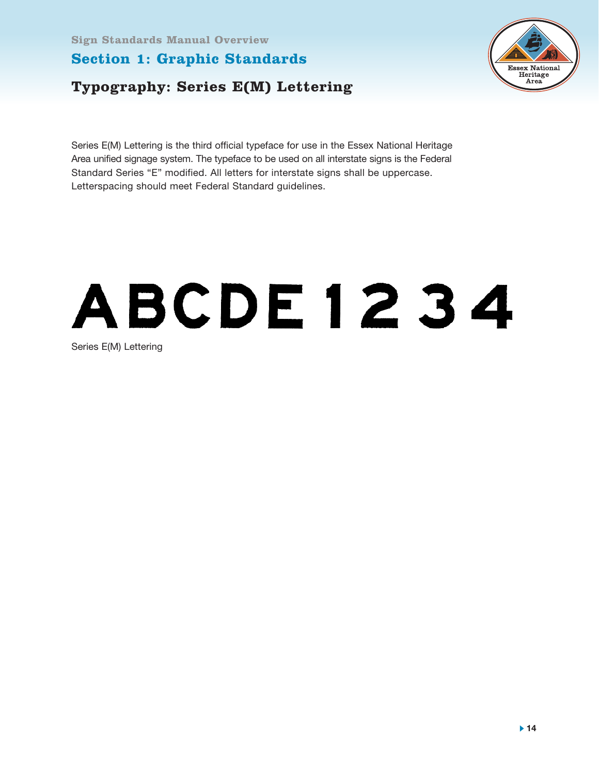#### **Section 1: Graphic Standards**

# **Typography: Series E(M) Lettering**



Series E(M) Lettering is the third official typeface for use in the Essex National Heritage Area unified signage system. The typeface to be used on all interstate signs is the Federal Standard Series "E" modified. All letters for interstate signs shall be uppercase. Letterspacing should meet Federal Standard guidelines.

# ABCDE1234

Series E(M) Lettering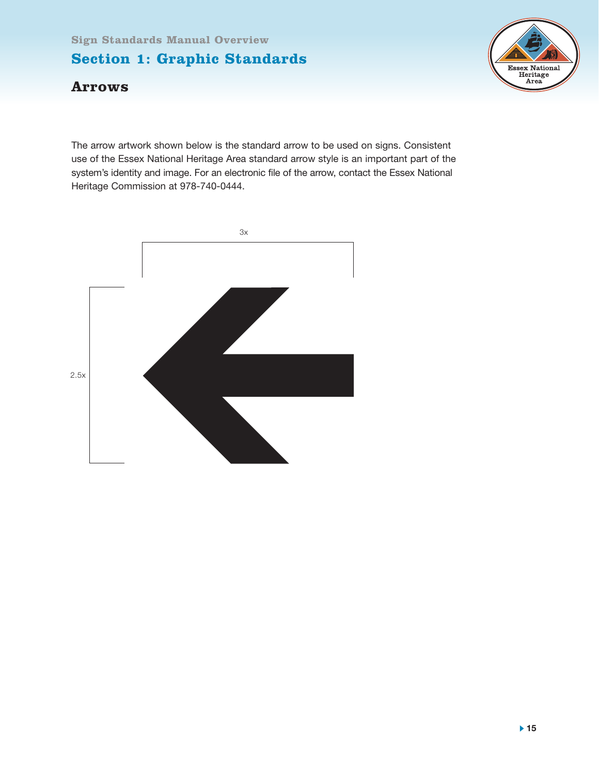#### **Section 1: Graphic Standards**



#### **Arrows**

The arrow artwork shown below is the standard arrow to be used on signs. Consistent use of the Essex National Heritage Area standard arrow style is an important part of the system's identity and image. For an electronic file of the arrow, contact the Essex National Heritage Commission at 978-740-0444.

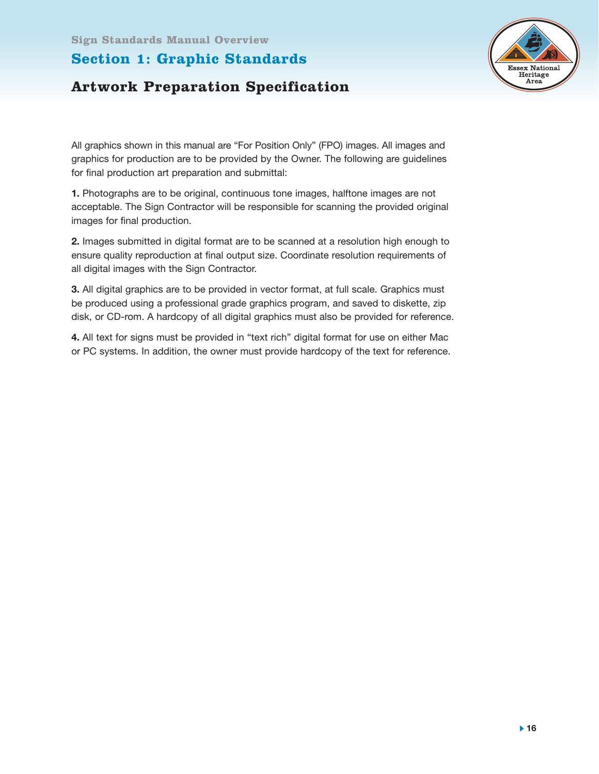



All graphics shown in this manual are "For Position Only" (FPO) images. All images and graphics for production are to be provided by the Owner. The following are guidelines for final production art preparation and submittal:

**1.** Photographs are to be original, continuous tone images, halftone images are not acceptable. The Sign Contractor will be responsible for scanning the provided original images for final production.

**2.** Images submitted in digital format are to be scanned at a resolution high enough to ensure quality reproduction at final output size. Coordinate resolution requirements of all digital images with the Sign Contractor.

**3.** All digital graphics are to be provided in vector format, at full scale. Graphics must be produced using a professional grade graphics program, and saved to diskette, zip disk, or CD-rom. A hardcopy of all digital graphics must also be provided for reference.

**4.** All text for signs must be provided in "text rich" digital format for use on either Mac or PC systems. In addition, the owner must provide hardcopy of the text for reference.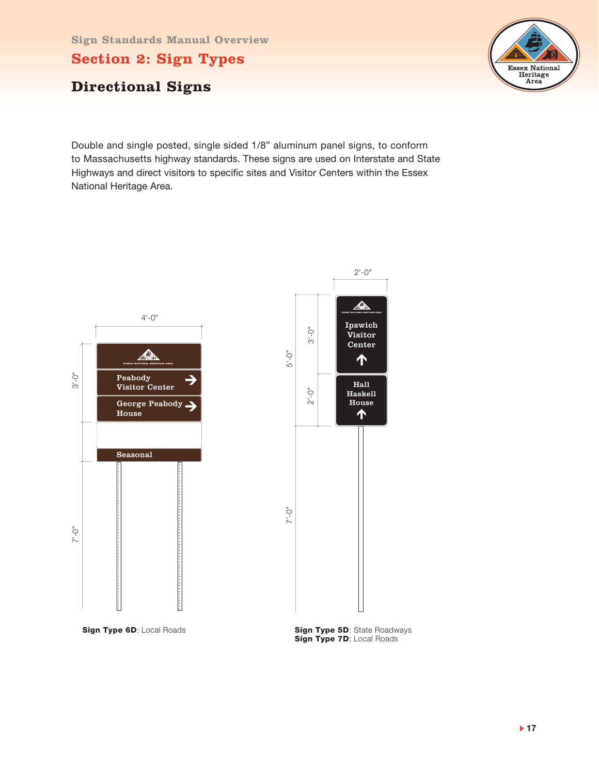**Section 2: Sign Types**

#### **Directional Signs**

Essex National Heritage Area

Double and single posted, single sided 1/8" aluminum panel signs, to conform to Massachusetts highway standards. These signs are used on Interstate and State Highways and direct visitors to specific sites and Visitor Centers within the Essex National Heritage Area.



**Sign Type 6D**: Local Roads **Sign Type 5D**: State Roadways **Sign Type 7D: Local Roads**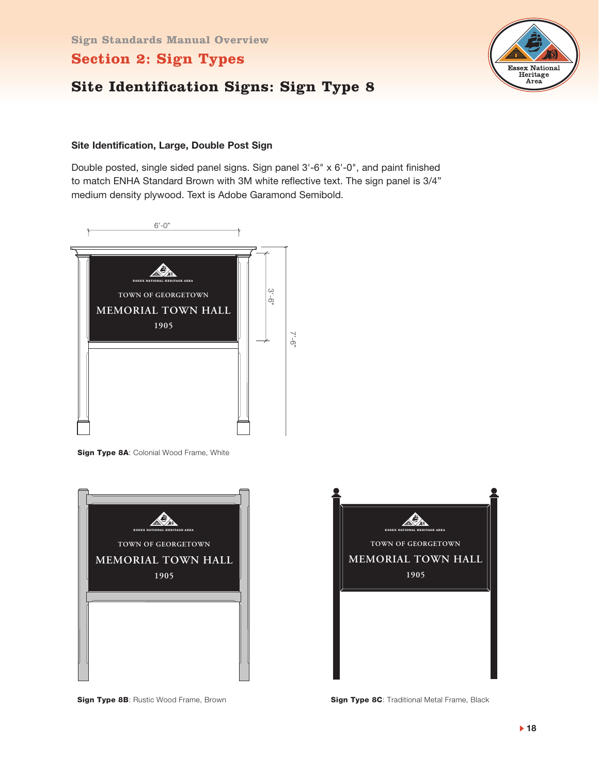# **Site Identification Signs: Sign Type 8**



Double posted, single sided panel signs. Sign panel 3'-6" x 6'-0", and paint finished to match ENHA Standard Brown with 3M white reflective text. The sign panel is 3/4" medium density plywood. Text is Adobe Garamond Semibold.



**Sign Type 8A: Colonial Wood Frame, White** 



**Sign Type 8B**: Rustic Wood Frame, Brown **Sign Type 8C**: Traditional Metal Frame, Black



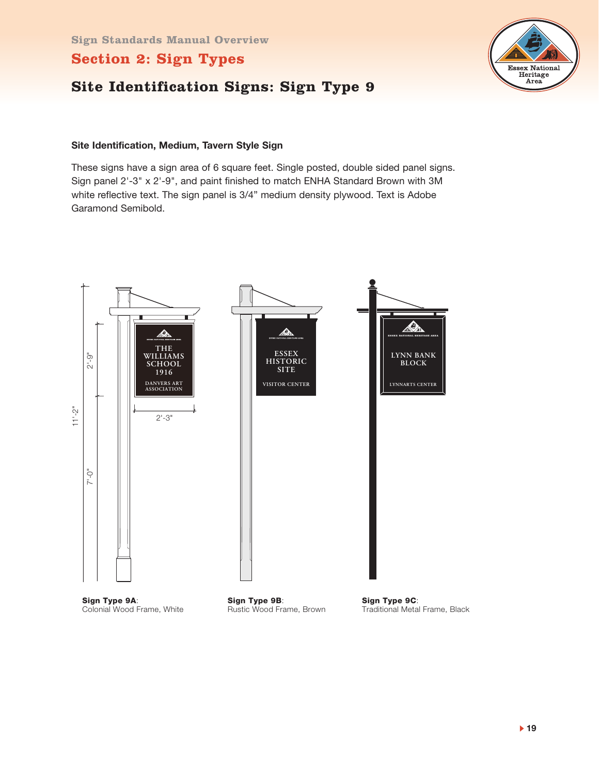#### **Site Identification Signs: Sign Type 9**



#### **Site Identification, Medium, Tavern Style Sign**

These signs have a sign area of 6 square feet. Single posted, double sided panel signs. Sign panel 2'-3" x 2'-9", and paint finished to match ENHA Standard Brown with 3M white reflective text. The sign panel is 3/4" medium density plywood. Text is Adobe Garamond Semibold.



**▶ 19** 

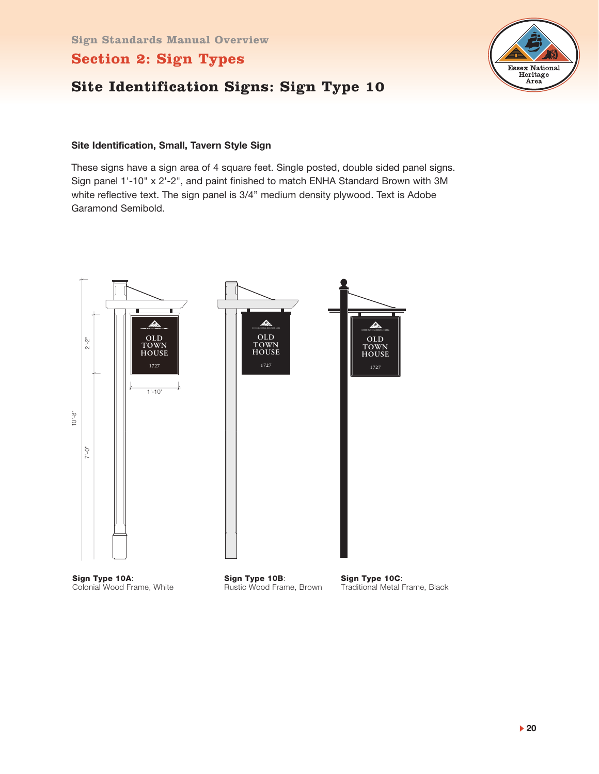# **Site Identification Signs: Sign Type 10**



#### **Site Identification, Small, Tavern Style Sign**

These signs have a sign area of 4 square feet. Single posted, double sided panel signs. Sign panel 1'-10" x 2'-2", and paint finished to match ENHA Standard Brown with 3M white reflective text. The sign panel is 3/4" medium density plywood. Text is Adobe Garamond Semibold.

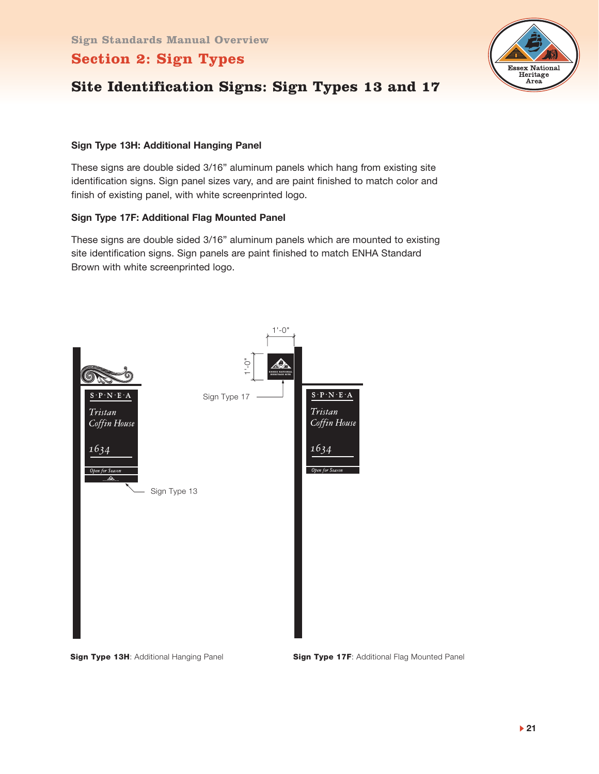

# **Site Identification Signs: Sign Types 13 and 17**

#### **Sign Type 13H: Additional Hanging Panel**

These signs are double sided 3/16" aluminum panels which hang from existing site identification signs. Sign panel sizes vary, and are paint finished to match color and finish of existing panel, with white screenprinted logo.

#### **Sign Type 17F: Additional Flag Mounted Panel**

These signs are double sided 3/16" aluminum panels which are mounted to existing site identification signs. Sign panels are paint finished to match ENHA Standard Brown with white screenprinted logo.



**Sign Type 13H:** Additional Hanging Panel **Sign Type 17F:** Additional Flag Mounted Panel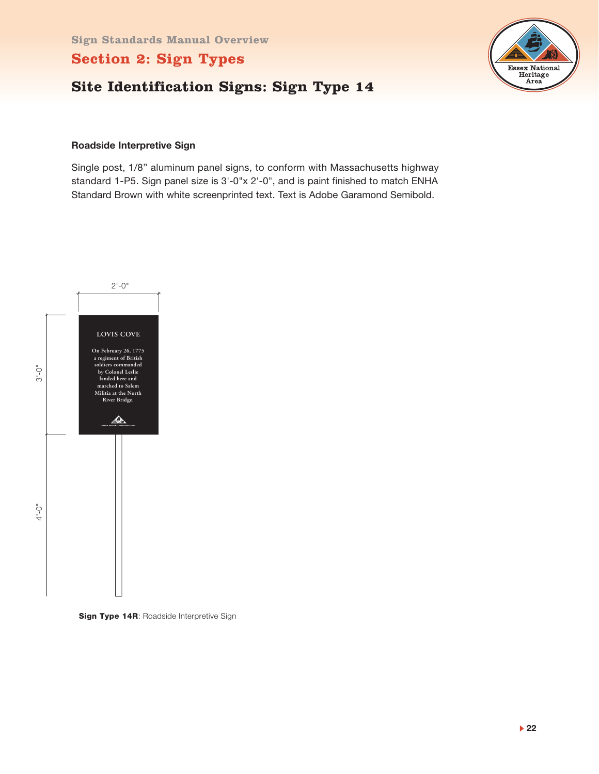



#### **Roadside Interpretive Sign**

Single post, 1/8" aluminum panel signs, to conform with Massachusetts highway standard 1-P5. Sign panel size is 3'-0"x 2'-0", and is paint finished to match ENHA Standard Brown with white screenprinted text. Text is Adobe Garamond Semibold.



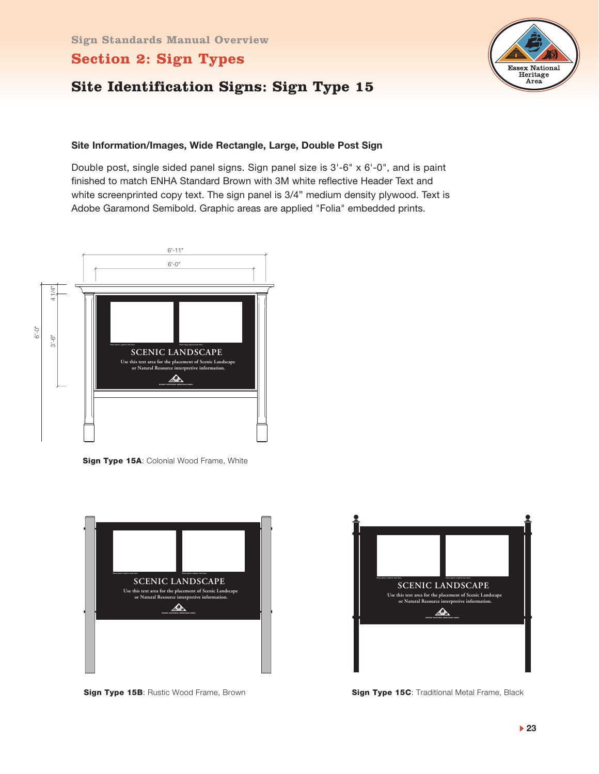# **Site Identification Signs: Sign Type 15**

#### **Site Information/Images, Wide Rectangle, Large, Double Post Sign**

Double post, single sided panel signs. Sign panel size is 3'-6" x 6'-0", and is paint finished to match ENHA Standard Brown with 3M white reflective Header Text and white screenprinted copy text. The sign panel is 3/4" medium density plywood. Text is Adobe Garamond Semibold. Graphic areas are applied "Folia" embedded prints.



**Sign Type 15A: Colonial Wood Frame, White** 



**Sign Type 15B: Rustic Wood Frame, Brown** 



**Sign Type 15C: Traditional Metal Frame, Black** 

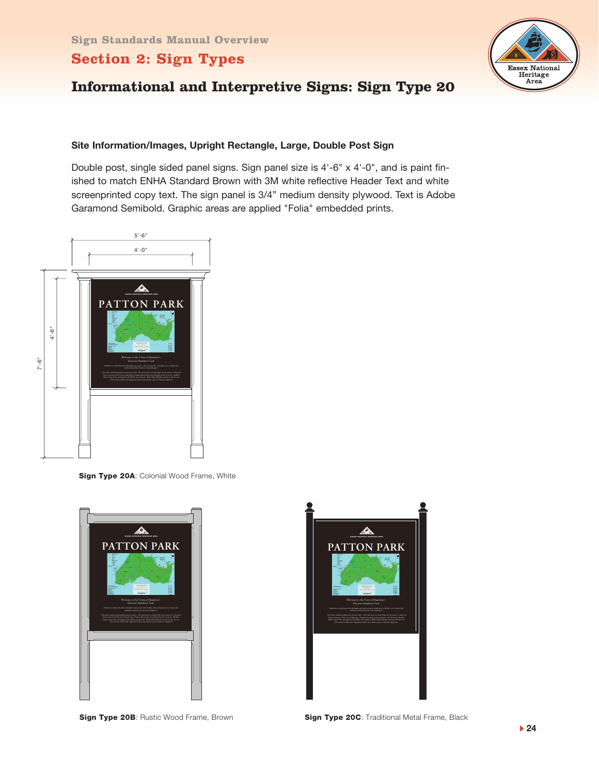

# **Informational and Interpretive Signs: Sign Type 20**

#### **Site Information/Images, Upright Rectangle, Large, Double Post Sign**

Double post, single sided panel signs. Sign panel size is 4'-6" x 4'-0", and is paint finished to match ENHA Standard Brown with 3M white reflective Header Text and white screenprinted copy text. The sign panel is 3/4" medium density plywood. Text is Adobe Garamond Semibold. Graphic areas are applied "Folia" embedded prints.



**Sign Type 20A: Colonial Wood Frame, White** 





**Sign Type 20B: Rustic Wood Frame, Brown**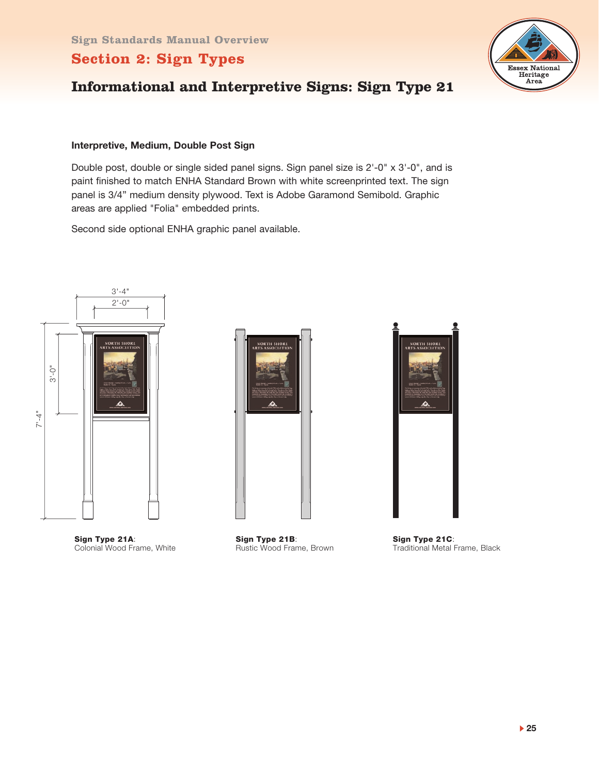

# **Informational and Interpretive Signs: Sign Type 21**

#### **Interpretive, Medium, Double Post Sign**

Double post, double or single sided panel signs. Sign panel size is 2'-0" x 3'-0", and is paint finished to match ENHA Standard Brown with white screenprinted text. The sign panel is 3/4" medium density plywood. Text is Adobe Garamond Semibold. Graphic areas are applied "Folia" embedded prints.

Second side optional ENHA graphic panel available.



**Sign Type 21A**: Colonial Wood Frame, White



**Sign Type 21B**: Rustic Wood Frame, Brown



**Sign Type 21C**: Traditional Metal Frame, Black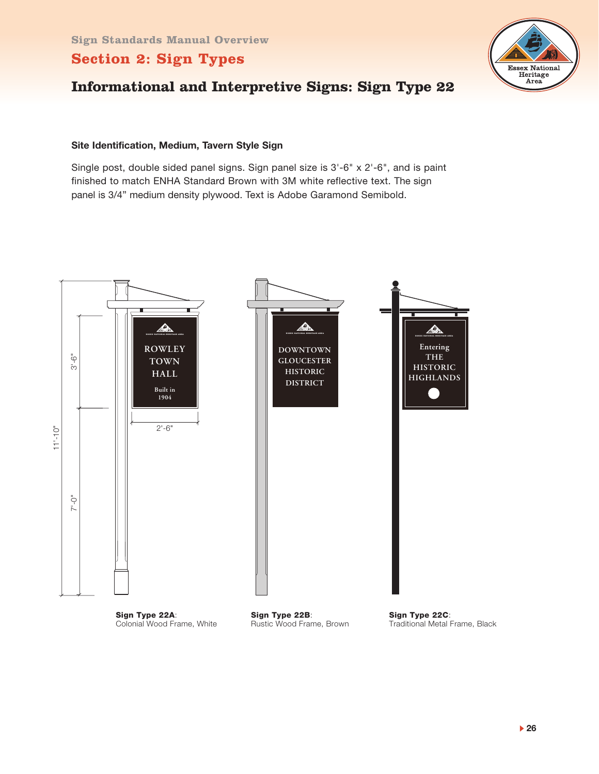

# **Informational and Interpretive Signs: Sign Type 22**

#### **Site Identification, Medium, Tavern Style Sign**

Single post, double sided panel signs. Sign panel size is 3'-6" x 2'-6", and is paint finished to match ENHA Standard Brown with 3M white reflective text. The sign panel is 3/4" medium density plywood. Text is Adobe Garamond Semibold.



**Sign Type 22A**: Colonial Wood Frame, White **Sign Type 22B**: Rustic Wood Frame, Brown **Sign Type 22C**: Traditional Metal Frame, Black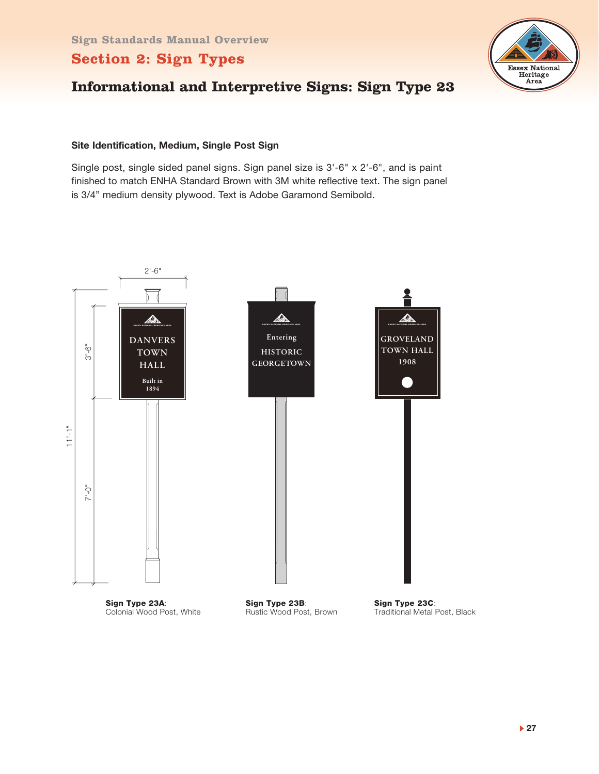

# **Informational and Interpretive Signs: Sign Type 23**

#### **Site Identification, Medium, Single Post Sign**

Single post, single sided panel signs. Sign panel size is 3'-6" x 2'-6", and is paint finished to match ENHA Standard Brown with 3M white reflective text. The sign panel is 3/4" medium density plywood. Text is Adobe Garamond Semibold.

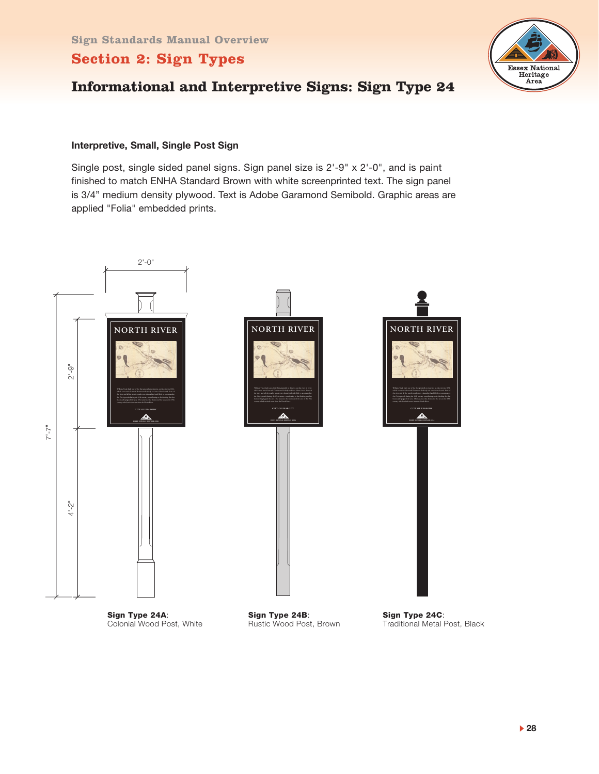

# **Informational and Interpretive Signs: Sign Type 24**

#### **Interpretive, Small, Single Post Sign**

Single post, single sided panel signs. Sign panel size is 2'-9" x 2'-0", and is paint finished to match ENHA Standard Brown with white screenprinted text. The sign panel is 3/4" medium density plywood. Text is Adobe Garamond Semibold. Graphic areas are applied "Folia" embedded prints.



Traditional Metal Post, Black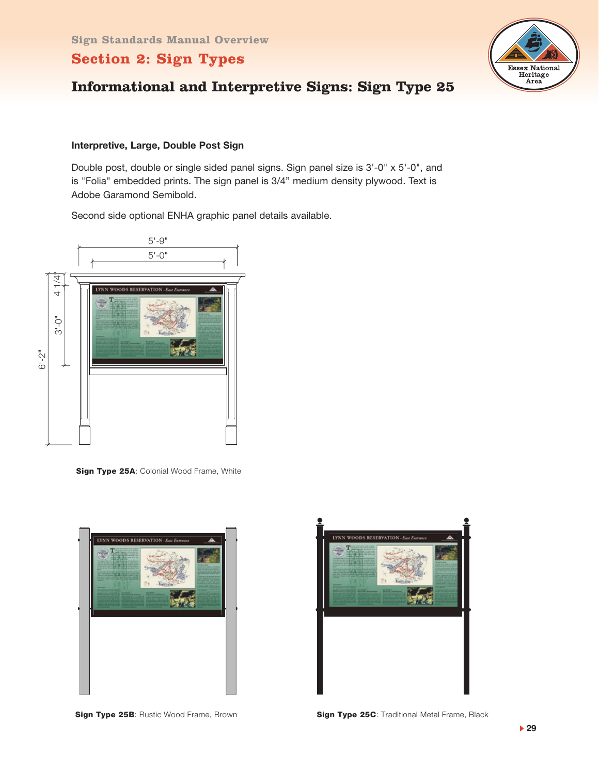

# **Informational and Interpretive Signs: Sign Type 25**

#### **Interpretive, Large, Double Post Sign**

Double post, double or single sided panel signs. Sign panel size is 3'-0" x 5'-0", and is "Folia" embedded prints. The sign panel is 3/4" medium density plywood. Text is Adobe Garamond Semibold.

Second side optional ENHA graphic panel details available.



**Sign Type 25A: Colonial Wood Frame, White** 





**Sign Type 25B: Rustic Wood Frame, Brown** 

**Sign Type 25C**: Traditional Metal Frame, Black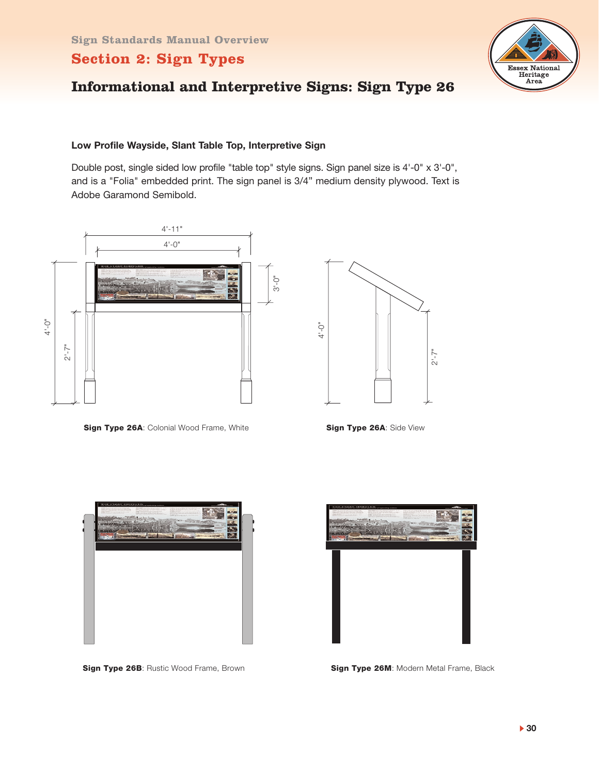

# **Informational and Interpretive Signs: Sign Type 26**

#### **Low Profile Wayside, Slant Table Top, Interpretive Sign**

Double post, single sided low profile "table top" style signs. Sign panel size is 4'-0" x 3'-0", and is a "Folia" embedded print. The sign panel is 3/4" medium density plywood. Text is Adobe Garamond Semibold.



**Sign Type 26A: Colonial Wood Frame, White <b>Sign Type 26A:** Side View



**Sign Type 26B: Rustic Wood Frame, Brown** 



**Sign Type 26M: Modern Metal Frame, Black**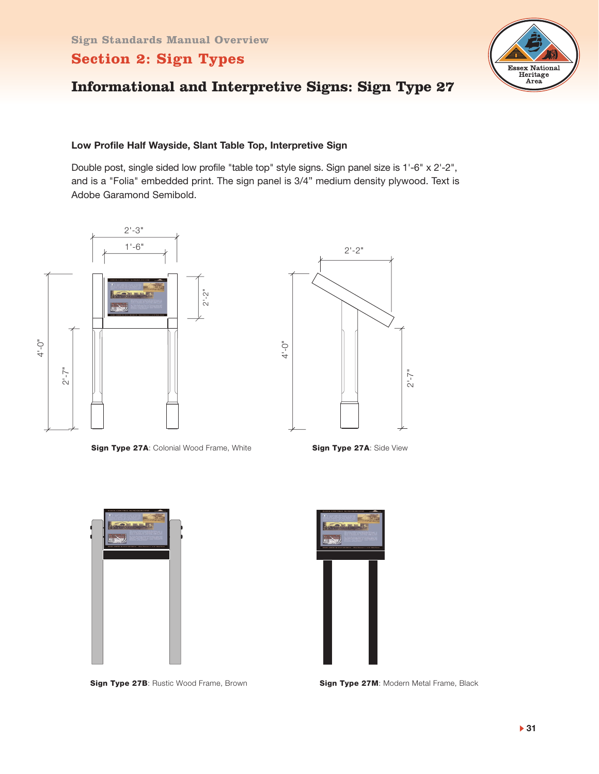

# **Informational and Interpretive Signs: Sign Type 27**

#### **Low Profile Half Wayside, Slant Table Top, Interpretive Sign**

Double post, single sided low profile "table top" style signs. Sign panel size is 1'-6" x 2'-2", and is a "Folia" embedded print. The sign panel is 3/4" medium density plywood. Text is Adobe Garamond Semibold.



**Sign Type 27A:** Colonial Wood Frame, White **Sign Type 27A:** Side View



**Sign Type 27B: Rustic Wood Frame, Brown** 



**Sign Type 27M: Modern Metal Frame, Black**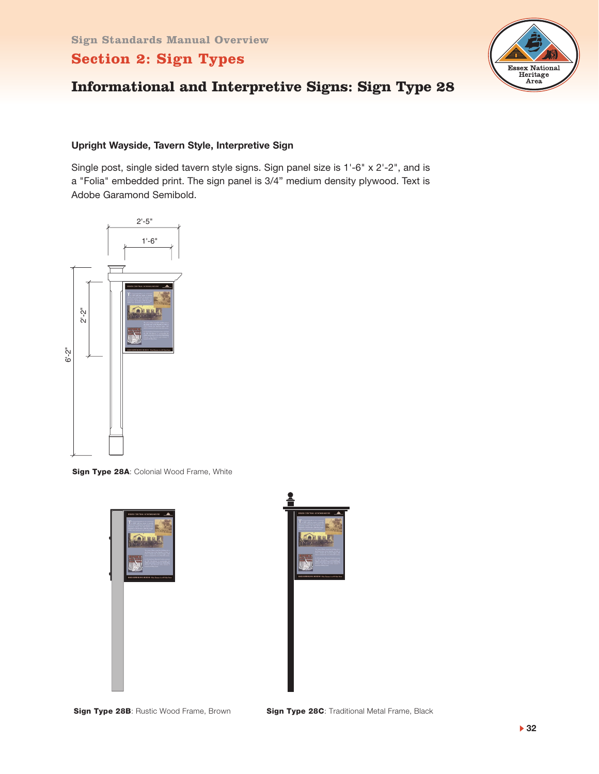

# **Informational and Interpretive Signs: Sign Type 28**

#### **Upright Wayside, Tavern Style, Interpretive Sign**

Single post, single sided tavern style signs. Sign panel size is 1'-6" x 2'-2", and is a "Folia" embedded print. The sign panel is 3/4" medium density plywood. Text is Adobe Garamond Semibold.



**Sign Type 28A: Colonial Wood Frame, White** 





**Sign Type 28B: Rustic Wood Frame, Brown**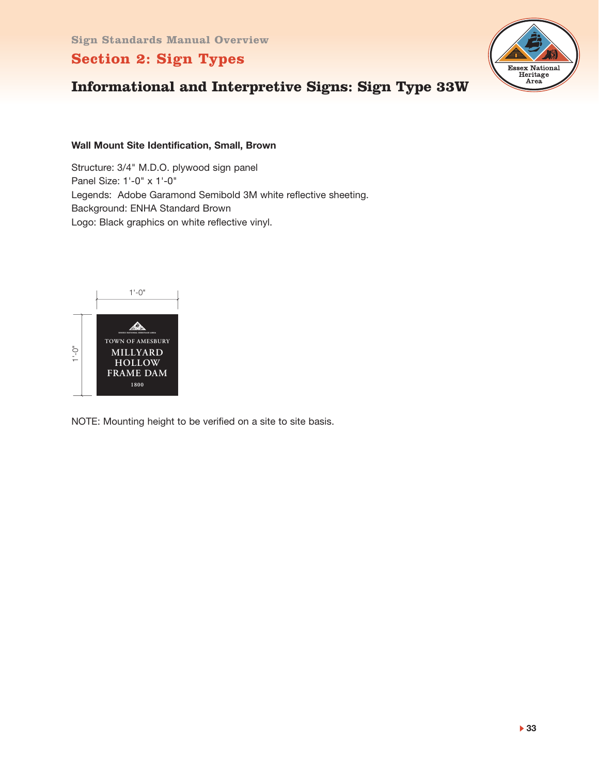

# **Informational and Interpretive Signs: Sign Type 33W**

#### **Wall Mount Site Identification, Small, Brown**

Structure: 3/4" M.D.O. plywood sign panel Panel Size: 1'-0" x 1'-0" Legends: Adobe Garamond Semibold 3M white reflective sheeting. Background: ENHA Standard Brown Logo: Black graphics on white reflective vinyl.



NOTE: Mounting height to be verified on a site to site basis.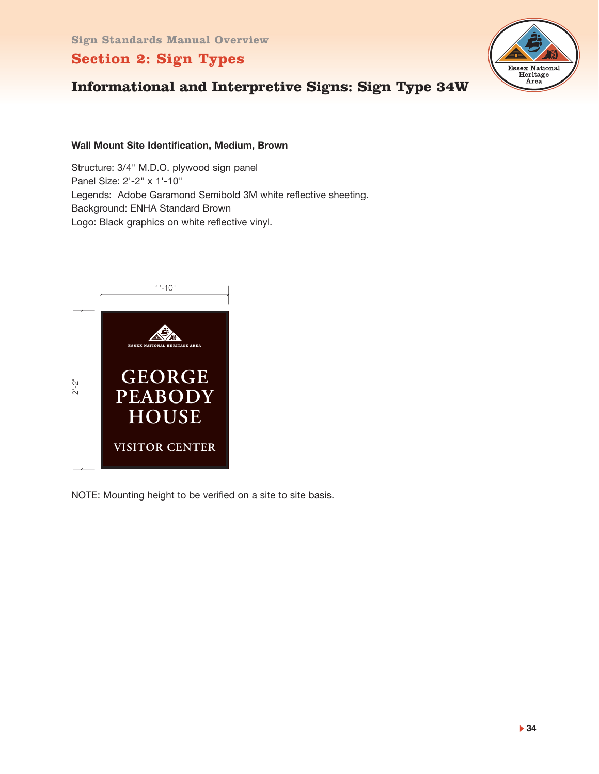

# **Informational and Interpretive Signs: Sign Type 34W**

#### **Wall Mount Site Identification, Medium, Brown**

Structure: 3/4" M.D.O. plywood sign panel Panel Size: 2'-2" x 1'-10" Legends: Adobe Garamond Semibold 3M white reflective sheeting. Background: ENHA Standard Brown Logo: Black graphics on white reflective vinyl.



NOTE: Mounting height to be verified on a site to site basis.